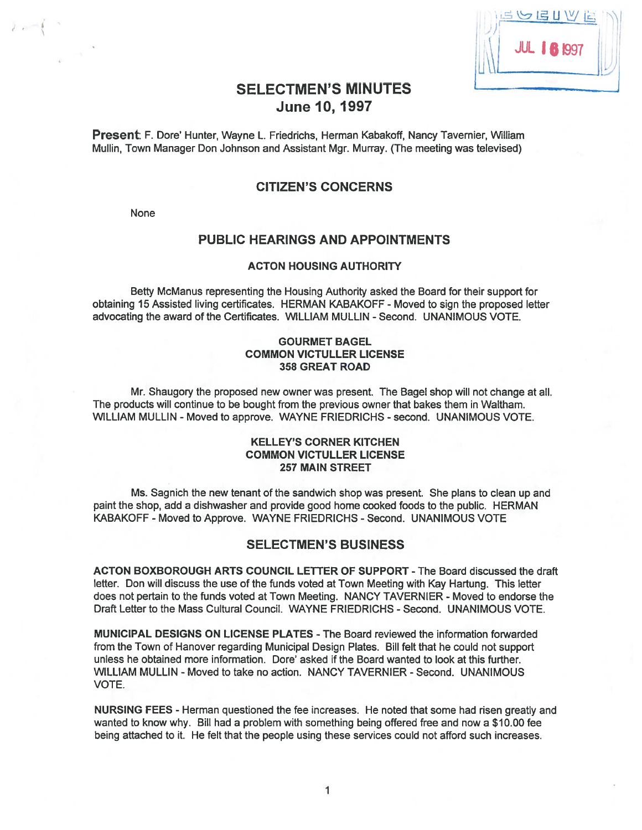| UBUVI              |  |
|--------------------|--|
| <b>JUL 16 1997</b> |  |
|                    |  |

# SELECTMEN'S MINUTES June 10, 1997

Present: F. Dote' Hunter, Wayne L. Friedrichs, Herman Kabakoff, Nancy Tavernier, William Mullin, Town Manager Don Johnson and Assistant Mgr. Murray. (The meeting was televised)

## CITIZEN'S CONCERNS

None

 $2e^{-x}$ 

## PUBLIC HEARINGS AND APPOINTMENTS

#### ACTON HOUSING AUTHORITY

Betty McManus representing the Housing Authority asked the Board for their suppor<sup>t</sup> for obtaining 15 Assisted living certificates. HERMAN KABAKOFF - Moved to sign the proposed letter advocating the award of the Certificates. WILLIAM MULLIN -Second. UNANIMOUS VOTE.

#### GOURMET BAGEL COMMON VICTULLER LICENSE 358 GREAT ROAD

Mr. Shaugory the proposed new owner was present. The Bagel shop will not change at all. The products will continue to be bought from the previous owner that bakes them in Waltham. WILLIAM MULLIN - Moved to approve. WAYNE FRIEDRICHS - second. UNANIMOUS VOTE.

#### KELLEY'S CORNER KITCHEN COMMON VICTULLER LICENSE 257 MAIN STREET

Ms. Sagnich the new tenant of the sandwich shop was present. She plans to clean up and paint the shop, add <sup>a</sup> dishwasher and provide good home cooked foods to the public. HERMAN KABAKOFF - Moved to Approve. WAYNE FRIEDRICHS - Second. UNANIMOUS VOTE

#### SELECTMEN'S BUSINESS

ACTON BOXBOROUGH ARTS COUNCIL LETTER OF SUPPORT -The Board discussed the draft letter. Don will discuss the use of the funds voted at Town Meeting with Kay Hartung. This letter does not pertain to the funds voted at Town Meeting. NANCY TAVERNIER - Moved to endorse the Draft Letter to the Mass Cultural Council. WAYNE FRIEDRICHS -Second. UNANIMOUS VOTE.

MUNICIPAL DESIGNS ON LICENSE PLATES -The Board reviewed the information forwarded from the Town of Hanover regarding Municipal Design Plates. Bill felt that he could not suppor<sup>t</sup> unless he obtained mote information. Dore' asked if the Board wanted to look at this further. WILLIAM MULLIN - Moved to take no action. NANCY TAVERNIER - Second. UNANIMOUS VOTE.

NURSING FEES - Herman questioned the fee increases. He noted that some had risen greatly and wanted to know why. Bill had <sup>a</sup> problem with something being offered free and now <sup>a</sup> \$10.00 fee being attached to it. He felt that the people using these services could not afford such increases.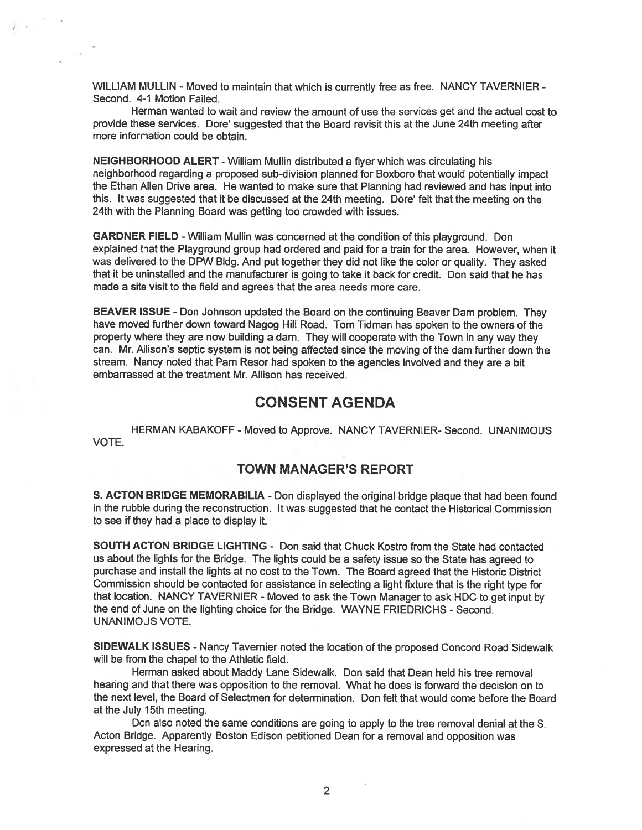WILLIAM MULLIN - Moved to maintain that which is currently free as free. NANCY TAVERNIER -Second. 4-1 Motion Failed.

Herman wanted to wait and review the amount of use the services ge<sup>t</sup> and the actual cost to provide these services. Dore' suggested that the Board revisit this at the June 24th meeting after more information could be obtain.

NEIGHBORHOOD ALERT -William Mullin distributed <sup>a</sup> flyer which was circulating his neighborhood regarding <sup>a</sup> propose<sup>d</sup> sub-division <sup>p</sup>lanned for Boxboro that would potentially impact the Ethan Allen Drive area. He wanted to make sure that Planning had reviewed and has input into this. It was suggested that it be discussed at the 24th meeting. Dote' felt that the meeting on the 24th with the Planning Board was getting too crowded with issues.

GARDNER FIELD -William Mullin was concerned at the condition of this playground. Don explained that the Playground group had ordered and paid for <sup>a</sup> train for the area. However, when it was delivered to the DPW Bldg. And pu<sup>t</sup> together they did not like the color or quality. They asked that it be uninstalled and the manufacturer is going to take it back for credit. Don said that he has made a site visit to the field and agrees that the area needs more care.

BEAVER ISSUE - Don Johnson updated the Board on the continuing Beaver Dam problem. They have moved further down toward Nagog Hill Road. Tom Tidman has spoken to the owners of the property where they are now building <sup>a</sup> dam. They wilt cooperate with the Town in any way they can. Mr. Allison's septic system is not being affected since the moving of the dam further down the stream. Nancy noted that Pam Resor had spoken to the agencies involved and they are a bit embarrassed at the treatment Mr. Allison has received.

## CONSENT AGENDA

HERMAN KABAKOFF -Moved to Approve. NANCY TAVERNIER- Second. UNANIMOUS VOTE.

## TOWN MANAGER'S REPORT

S. ACTON BRIDGE MEMORABILIA - Don displayed the original bridge plaque that had been found in the rubble during the reconstruction. It was suggested that he contact the Historical Commission to see if they had <sup>a</sup> place to display it.

SOUTH ACTON BRIDGE LIGHTING - Don said that Chuck Kostro from the State had contacted us about the lights for the Bridge. The lights could be <sup>a</sup> safety issue so the State has agree<sup>d</sup> to purchase and install the lights at no cost to the Town. The Board agree<sup>d</sup> that the Historic District Commission should be contacted for assistance in selecting <sup>a</sup> light fixture that is the tight type for that location. NANCY TAVERNIER - Moved to ask the Town Manager to ask HDC to get input by the end of June on the lighting choice for the Bridge. WAYNE FRIEDRICHS - Second. UNANIMOUS VOTE.

SIDEWALK ISSUES -Nancy Tavernier noted the location of the propose<sup>d</sup> Concord Road Sidewalk will be from the chapel to the Athletic field.

Herman asked about Maddy Lane Sidewalk. Don said that Dean held his tree removal hearing and that there was opposition to the removal. What he does is forward the decision on to the next level, the Board of Selectmen for determination. Don felt that would come before the Board at the July 15th meeting.

Don also noted the same conditions are going to apply to the tree removal denial at the S. Acton Bridge. Apparently Boston Edison petitioned Dean for <sup>a</sup> removal and opposition was expressed at the Hearing.